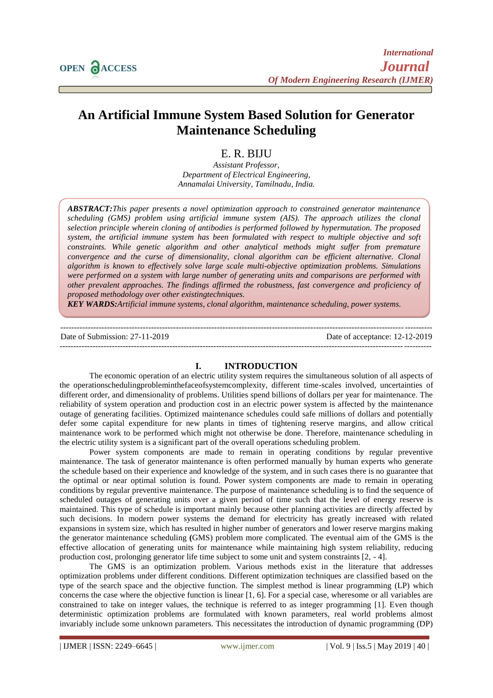# **An Artificial Immune System Based Solution for Generator Maintenance Scheduling**

## E. R. BIJU

*Assistant Professor, Department of Electrical Engineering, Annamalai University, Tamilnadu, India.*

*ABSTRACT:This paper presents a novel optimization approach to constrained generator maintenance scheduling (GMS) problem using artificial immune system (AIS). The approach utilizes the clonal selection principle wherein cloning of antibodies is performed followed by hypermutation. The proposed system, the artificial immune system has been formulated with respect to multiple objective and soft constraints. While genetic algorithm and other analytical methods might suffer from premature convergence and the curse of dimensionality, clonal algorithm can be efficient alternative. Clonal algorithm is known to effectively solve large scale multi-objective optimization problems. Simulations were performed on a system with large number of generating units and comparisons are performed with other prevalent approaches. The findings affirmed the robustness, fast convergence and proficiency of proposed methodology over other existingtechniques.*

*KEY WARDS:Artificial immune systems, clonal algorithm, maintenance scheduling, power systems.*

--------------------------------------------------------------------------------------------------------------------------------------- Date of Submission: 27-11-2019 Date of acceptance: 12-12-2019

---------------------------------------------------------------------------------------------------------------------------------------

### **I. INTRODUCTION**

The economic operation of an electric utility system requires the simultaneous solution of all aspects of the operationschedulingprobleminthefaceofsystemcomplexity, different time-scales involved, uncertainties of different order, and dimensionality of problems. Utilities spend billions of dollars per year for maintenance. The reliability of system operation and production cost in an electric power system is affected by the maintenance outage of generating facilities. Optimized maintenance schedules could safe millions of dollars and potentially defer some capital expenditure for new plants in times of tightening reserve margins, and allow critical maintenance work to be performed which might not otherwise be done. Therefore, maintenance scheduling in the electric utility system is a significant part of the overall operations scheduling problem.

Power system components are made to remain in operating conditions by regular preventive maintenance. The task of generator maintenance is often performed manually by human experts who generate the schedule based on their experience and knowledge of the system, and in such cases there is no guarantee that the optimal or near optimal solution is found. Power system components are made to remain in operating conditions by regular preventive maintenance. The purpose of maintenance scheduling is to find the sequence of scheduled outages of generating units over a given period of time such that the level of energy reserve is maintained. This type of schedule is important mainly because other planning activities are directly affected by such decisions. In modern power systems the demand for electricity has greatly increased with related expansions in system size, which has resulted in higher number of generators and lower reserve margins making the generator maintenance scheduling **(**GMS) problem more complicated. The eventual aim of the GMS is the effective allocation of generating units for maintenance while maintaining high system reliability, reducing production cost, prolonging generator life time subject to some unit and system constraints [2, - 4].

The GMS is an optimization problem. Various methods exist in the literature that addresses optimization problems under different conditions. Different optimization techniques are classified based on the type of the search space and the objective function. The simplest method is linear programming (LP) which concerns the case where the objective function is linear [1, 6]. For a special case, wheresome or all variables are constrained to take on integer values, the technique is referred to as integer programming [1]. Even though deterministic optimization problems are formulated with known parameters, real world problems almost invariably include some unknown parameters. This necessitates the introduction of dynamic programming (DP)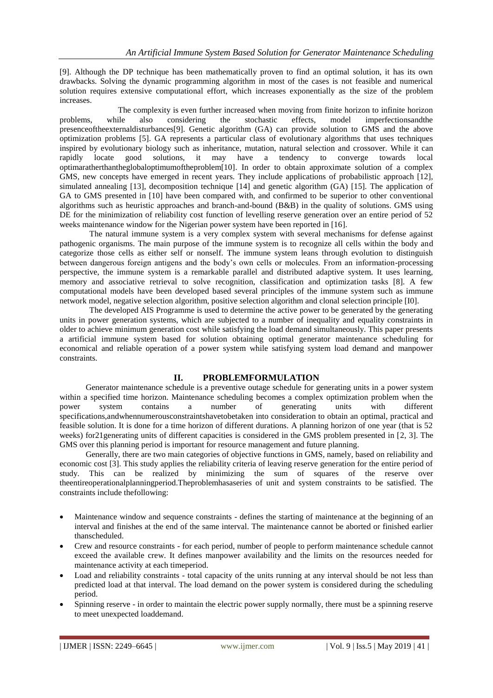[9]. Although the DP technique has been mathematically proven to find an optimal solution, it has its own drawbacks. Solving the dynamic programming algorithm in most of the cases is not feasible and numerical solution requires extensive computational effort, which increases exponentially as the size of the problem increases.

The complexity is even further increased when moving from finite horizon to infinite horizon problems, while also considering the stochastic effects, model imperfectionsandthe presenceoftheexternaldisturbances[9]. Genetic algorithm (GA) can provide solution to GMS and the above optimization problems [5]. GA represents a particular class of evolutionary algorithms that uses techniques inspired by evolutionary biology such as inheritance, mutation, natural selection and crossover. While it can rapidly locate good solutions, it may have a tendency to converge towards local optimaratherthantheglobaloptimumoftheproblem[10]. In order to obtain approximate solution of a complex GMS, new concepts have emerged in recent years. They include applications of probabilistic approach [12], simulated annealing [13], decomposition technique [14] and genetic algorithm (GA) [15]. The application of GA to GMS presented in [10] have been compared with, and confirmed to be superior to other conventional algorithms such as heuristic approaches and branch-and-bound (B&B) in the quality of solutions. GMS using DE for the minimization of reliability cost function of levelling reserve generation over an entire period of 52 weeks maintenance window for the Nigerian power system have been reported in [16].

The natural immune system is a very complex system with several mechanisms for defense against pathogenic organisms. The main purpose of the immune system is to recognize all cells within the body and categorize those cells as either self or nonself. The immune system leans through evolution to distinguish between dangerous foreign antigens and the body's own cells or molecules. From an information-processing perspective, the immune system is a remarkable parallel and distributed adaptive system. It uses learning, memory and associative retrieval to solve recognition, classification and optimization tasks [8]. A few computational models have been developed based several principles of the immune system such as immune network model, negative selection algorithm, positive selection algorithm and clonal selection principle [I0].

The developed AIS Programme is used to determine the active power to be generated by the generating units in power generation systems, which are subjected to a number of inequality and equality constraints in older to achieve minimum generation cost while satisfying the load demand simultaneously. This paper presents a artificial immune system based for solution obtaining optimal generator maintenance scheduling for economical and reliable operation of a power system while satisfying system load demand and manpower constraints.

### **II. PROBLEMFORMULATION**

Generator maintenance schedule is a preventive outage schedule for generating units in a power system within a specified time horizon. Maintenance scheduling becomes a complex optimization problem when the power system contains a number of generating units with different specifications,andwhennumerousconstraintshavetobetaken into consideration to obtain an optimal, practical and feasible solution. It is done for a time horizon of different durations. A planning horizon of one year (that is 52 weeks) for21generating units of different capacities is considered in the GMS problem presented in [2, 3]. The GMS over this planning period is important for resource management and future planning.

Generally, there are two main categories of objective functions in GMS, namely, based on reliability and economic cost [3]. This study applies the reliability criteria of leaving reserve generation for the entire period of study. This can be realized by minimizing the sum of squares of the reserve over theentireoperationalplanningperiod.Theproblemhasaseries of unit and system constraints to be satisfied. The constraints include thefollowing:

- Maintenance window and sequence constraints defines the starting of maintenance at the beginning of an interval and finishes at the end of the same interval. The maintenance cannot be aborted or finished earlier thanscheduled.
- Crew and resource constraints for each period, number of people to perform maintenance schedule cannot exceed the available crew. It defines manpower availability and the limits on the resources needed for maintenance activity at each timeperiod.
- Load and reliability constraints total capacity of the units running at any interval should be not less than predicted load at that interval. The load demand on the power system is considered during the scheduling period.
- Spinning reserve in order to maintain the electric power supply normally, there must be a spinning reserve to meet unexpected loaddemand.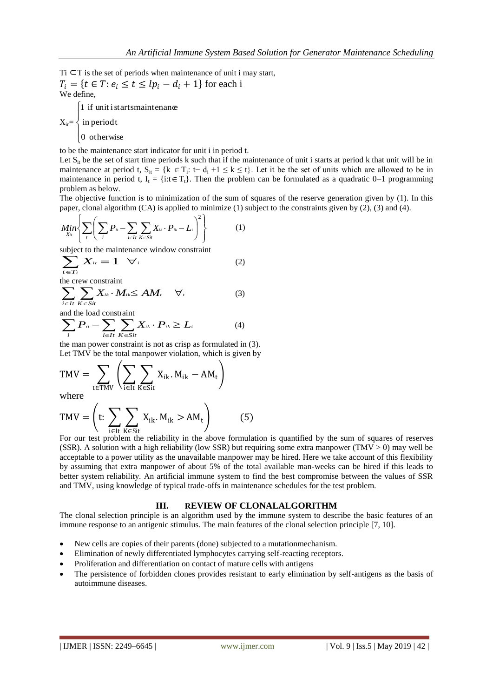Ti ⊂T is the set of periods when maintenance of unit i may start,  $T_i = \{ t \in T : e_i \le t \le lp_i - d_i + 1 \}$  for each i We define,

 $\begin{bmatrix} 1 & \text{if unit} \end{bmatrix}$  istartsmaintenance

 $X_{it} = \begin{cases}$  $\{$  in periodt

 $\Big\downarrow$  0 otherwise

to be the maintenance start indicator for unit i in period t.

Let  $S_{it}$  be the set of start time periods k such that if the maintenance of unit i starts at period k that unit will be in maintenance at period t,  $S_{it} = \{k \in T_i: t - d_i + 1 \leq k \leq t\}$ . Let it be the set of units which are allowed to be in maintenance in period t,  $I_t = \{i : t \in T_t\}$ . Then the problem can be formulated as a quadratic 0–1 programming problem as below.

The objective function is to minimization of the sum of squares of the reserve generation given by (1). In this paper, clonal algorithm (CA) is applied to minimize (1) subject to the constraints given by (2), (3) and (4).

$$
Min\left\{\sum_{i} \left(\sum_{i} P_{ii} - \sum_{i \in It} \sum_{K \in St} X_{ik} \cdot P_{ik} - L_{i}\right)^{2}\right\}
$$
(1)

subject to the maintenance window constraint  
\n
$$
\sum_{t \in T_i} X_{ii} = 1 \quad \forall i
$$
\n(2)

the crew constraint

$$
\sum_{i \in It} \sum_{K \in St} X_{ik} \cdot M_{ik} \le AM, \quad \forall_i
$$
 (3)

and the load constraint

$$
\sum_{i} P_{ii} - \sum_{i \in It} \sum_{K \in Sit} X_{ik} \cdot P_{ik} \ge L
$$
 (4)

the man power constraint is not as crisp as formulated in (3). Let TMV be the total manpower violation, which is given by

$$
TMV = \sum_{t \in TMV} \left( \sum_{i \in It} \sum_{K \in Sit} X_{ik}. M_{ik} - AM_t \right)
$$

where

$$
TMV = \left(t: \sum_{i \in I} \sum_{K \in Sit} X_{ik}. M_{ik} > AM_t\right)
$$
 (5)

i∈It K∈Sit For our test problem the reliability in the above formulation is quantified by the sum of squares of reserves (SSR). A solution with a high reliability (low SSR) but requiring some extra manpower (TMV  $>$  0) may well be acceptable to a power utility as the unavailable manpower may be hired. Here we take account of this flexibility by assuming that extra manpower of about 5% of the total available man-weeks can be hired if this leads to better system reliability. An artificial immune system to find the best compromise between the values of SSR and TMV, using knowledge of typical trade-offs in maintenance schedules for the test problem.

#### **III. REVIEW OF CLONALALGORITHM**

The clonal selection principle is an algorithm used by the immune system to describe the basic features of an immune response to an antigenic stimulus. The main features of the clonal selection principle [7, 10].

- New cells are copies of their parents (done) subjected to a mutationmechanism.
- Elimination of newly differentiated lymphocytes carrying self-reacting receptors.
- Proliferation and differentiation on contact of mature cells with antigens
- The persistence of forbidden clones provides resistant to early elimination by self-antigens as the basis of autoimmune diseases.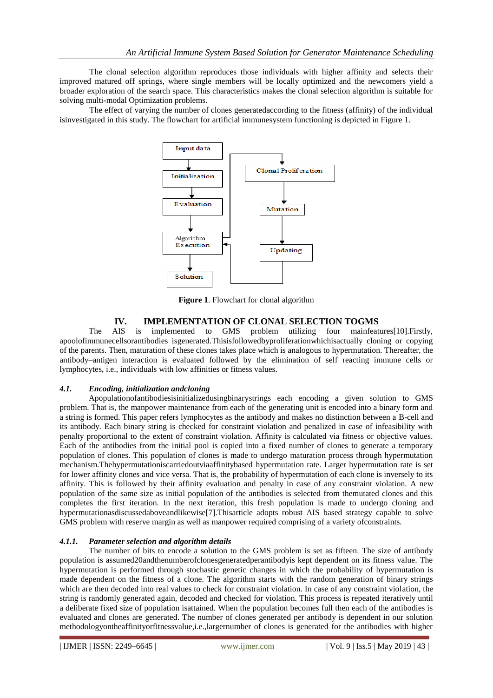The clonal selection algorithm reproduces those individuals with higher affinity and selects their improved matured off springs, where single members will be locally optimized and the newcomers yield a broader exploration of the search space. This characteristics makes the clonal selection algorithm is suitable for solving multi-modal Optimization problems.

The effect of varying the number of clones generatedaccording to the fitness (affinity) of the individual isinvestigated in this study. The flowchart for artificial immunesystem functioning is depicted in Figure 1.



**Figure 1**. Flowchart for clonal algorithm

### **IV. IMPLEMENTATION OF CLONAL SELECTION TOGMS**

The AIS is implemented to GMS problem utilizing four mainfeatures[10].Firstly, apoolofimmunecellsorantibodies isgenerated.Thisisfollowedbyproliferationwhichisactually cloning or copying of the parents. Then, maturation of these clones takes place which is analogous to hypermutation. Thereafter, the antibody–antigen interaction is evaluated followed by the elimination of self reacting immune cells or lymphocytes, i.e., individuals with low affinities or fitness values.

#### *4.1. Encoding, initialization andcloning*

Apopulationofantibodiesisinitializedusingbinarystrings each encoding a given solution to GMS problem. That is, the manpower maintenance from each of the generating unit is encoded into a binary form and a string is formed. This paper refers lymphocytes as the antibody and makes no distinction between a B-cell and its antibody. Each binary string is checked for constraint violation and penalized in case of infeasibility with penalty proportional to the extent of constraint violation. Affinity is calculated via fitness or objective values. Each of the antibodies from the initial pool is copied into a fixed number of clones to generate a temporary population of clones. This population of clones is made to undergo maturation process through hypermutation mechanism.Thehypermutationiscarriedoutviaaffinitybased hypermutation rate. Larger hypermutation rate is set for lower affinity clones and vice versa. That is, the probability of hypermutation of each clone is inversely to its affinity. This is followed by their affinity evaluation and penalty in case of any constraint violation. A new population of the same size as initial population of the antibodies is selected from themutated clones and this completes the first iteration. In the next iteration, this fresh population is made to undergo cloning and hypermutationasdiscussedaboveandlikewise[7].Thisarticle adopts robust AIS based strategy capable to solve GMS problem with reserve margin as well as manpower required comprising of a variety ofconstraints.

#### *4.1.1. Parameter selection and algorithm details*

The number of bits to encode a solution to the GMS problem is set as fifteen. The size of antibody population is assumed20andthenumberofclonesgeneratedperantibodyis kept dependent on its fitness value. The hypermutation is performed through stochastic genetic changes in which the probability of hypermutation is made dependent on the fitness of a clone. The algorithm starts with the random generation of binary strings which are then decoded into real values to check for constraint violation. In case of any constraint violation, the string is randomly generated again, decoded and checked for violation. This process is repeated iteratively until a deliberate fixed size of population isattained. When the population becomes full then each of the antibodies is evaluated and clones are generated. The number of clones generated per antibody is dependent in our solution methodologyontheaffinityorfitnessvalue,i.e.,largernumber of clones is generated for the antibodies with higher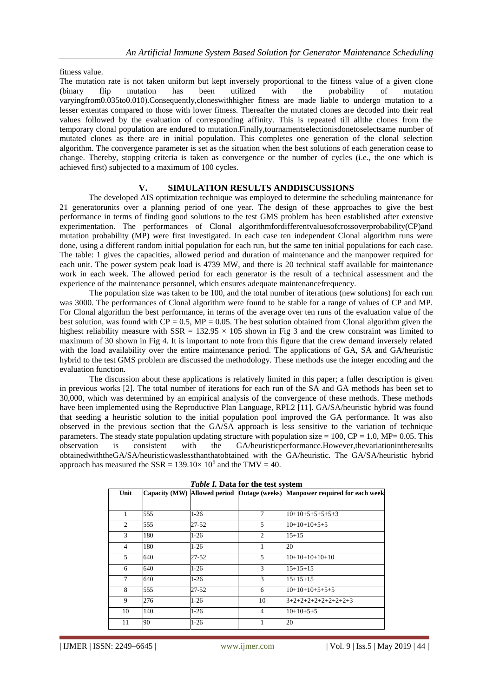#### fitness value.

The mutation rate is not taken uniform but kept inversely proportional to the fitness value of a given clone (binary flip mutation has been utilized with the probability of mutation (binary flip mutation has been utilized with the probability of mutation varyingfrom0.035to0.010).Consequently,cloneswithhigher fitness are made liable to undergo mutation to a lesser extentas compared to those with lower fitness. Thereafter the mutated clones are decoded into their real values followed by the evaluation of corresponding affinity. This is repeated till allthe clones from the temporary clonal population are endured to mutation.Finally,tournamentselectionisdonetoselectsame number of mutated clones as there are in initial population. This completes one generation of the clonal selection algorithm. The convergence parameter is set as the situation when the best solutions of each generation cease to change. Thereby, stopping criteria is taken as convergence or the number of cycles (i.e., the one which is achieved first) subjected to a maximum of 100 cycles.

### **V. SIMULATION RESULTS ANDDISCUSSIONS**

The developed AIS optimization technique was employed to determine the scheduling maintenance for 21 generatorunits over a planning period of one year. The design of these approaches to give the best performance in terms of finding good solutions to the test GMS problem has been established after extensive experimentation. The performances of Clonal algorithmfordifferentvaluesofcrossoverprobability(CP)and mutation probability (MP) were first investigated. In each case ten independent Clonal algorithm runs were done, using a different random initial population for each run, but the same ten initial populations for each case. The table: 1 gives the capacities, allowed period and duration of maintenance and the manpower required for each unit. The power system peak load is 4739 MW, and there is 20 technical staff available for maintenance work in each week. The allowed period for each generator is the result of a technical assessment and the experience of the maintenance personnel, which ensures adequate maintenancefrequency.

The population size was taken to be 100, and the total number of iterations (new solutions) for each run was 3000. The performances of Clonal algorithm were found to be stable for a range of values of CP and MP. For Clonal algorithm the best performance, in terms of the average over ten runs of the evaluation value of the best solution, was found with  $CP = 0.5$ ,  $MP = 0.05$ . The best solution obtained from Clonal algorithm given the highest reliability measure with  $SSR = 132.95 \times 105$  shown in Fig 3 and the crew constraint was limited to maximum of 30 shown in Fig 4. It is important to note from this figure that the crew demand inversely related with the load availability over the entire maintenance period. The applications of GA, SA and GA/heuristic hybrid to the test GMS problem are discussed the methodology. These methods use the integer encoding and the evaluation function.

The discussion about these applications is relatively limited in this paper; a fuller description is given in previous works [2]. The total number of iterations for each run of the SA and GA methods has been set to 30,000, which was determined by an empirical analysis of the convergence of these methods. These methods have been implemented using the Reproductive Plan Language, RPL2 [11]. GA/SA/heuristic hybrid was found that seeding a heuristic solution to the initial population pool improved the GA performance. It was also observed in the previous section that the GA/SA approach is less sensitive to the variation of technique parameters. The steady state population updating structure with population size  $= 100$ , CP  $= 1.0$ , MP $= 0.05$ . This observation is consistent with the GA/heuristicperformance.However,thevariationintheresults obtainedwiththeGA/SA/heuristicwaslessthanthatobtained with the GA/heuristic. The GA/SA/heuristic hybrid approach has measured the  $SSR = 139.10 \times 10^5$  and the TMV = 40.

| Unit   |     |        | wore it bara for the rest system | Capacity (MW) Allowed period Outage (weeks) Manpower required for each week |
|--------|-----|--------|----------------------------------|-----------------------------------------------------------------------------|
|        |     |        |                                  |                                                                             |
| 1      | 555 | $1-26$ | 7                                | $10+10+5+5+5+5+3$                                                           |
| 2      | 555 | 27-52  | 5                                | $10+10+10+5+5$                                                              |
| 3      | 180 | $1-26$ | $\overline{2}$                   | $15 + 15$                                                                   |
| 4      | 180 | $1-26$ |                                  | 20                                                                          |
| 5      | 640 | 27-52  | 5                                | $10+10+10+10+10$                                                            |
| 6      | 640 | $1-26$ | 3                                | $15+15+15$                                                                  |
| $\tau$ | 640 | $1-26$ | 3                                | $15+15+15$                                                                  |
| 8      | 555 | 27-52  | 6                                | $10+10+10+5+5+5$                                                            |
| 9      | 276 | $1-26$ | 10                               | $3+2+2+2+2+2+2+2+2+3$                                                       |
| 10     | 140 | $1-26$ | $\overline{4}$                   | $10+10+5+5$                                                                 |
| 11     | 90  | $1-26$ | 1                                | 20                                                                          |

| Table I. Data for the test system |  |
|-----------------------------------|--|
|-----------------------------------|--|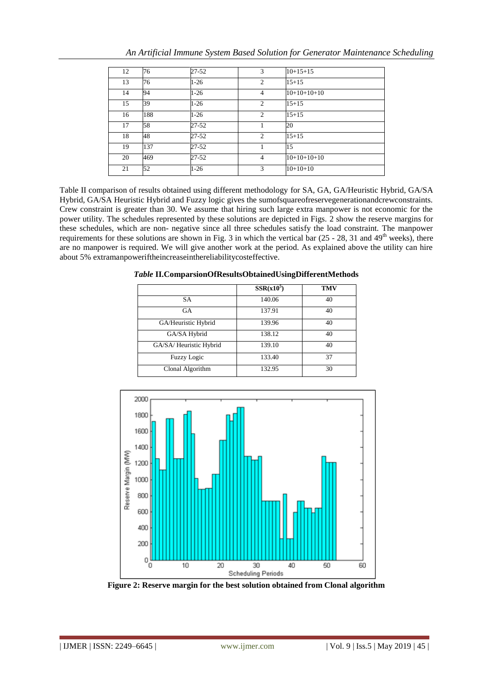| 12 | 76  | 27-52  | 3              | $10+15+15$    |
|----|-----|--------|----------------|---------------|
| 13 | 76  | 1-26   | 2              | $15 + 15$     |
| 14 | 94  | $1-26$ | $\overline{4}$ | $10+10+10+10$ |
| 15 | 39  | $1-26$ | 2              | $15 + 15$     |
| 16 | 188 | $1-26$ | 2              | $15 + 15$     |
| 17 | 58  | 27-52  | 1              | 20            |
| 18 | 48  | 27-52  | 2              | $15 + 15$     |
| 19 | 137 | 27-52  |                | 15            |
| 20 | 469 | 27-52  | $\overline{4}$ | $10+10+10+10$ |
| 21 | 52  | $1-26$ | 3              | $10+10+10$    |
|    |     |        |                |               |

*An Artificial Immune System Based Solution for Generator Maintenance Scheduling*

Table II comparison of results obtained using different methodology for SA, GA, GA/Heuristic Hybrid, GA/SA Hybrid, GA/SA Heuristic Hybrid and Fuzzy logic gives the sumofsquareofreservegenerationandcrewconstraints. Crew constraint is greater than 30. We assume that hiring such large extra manpower is not economic for the power utility. The schedules represented by these solutions are depicted in Figs. 2 show the reserve margins for these schedules, which are non- negative since all three schedules satisfy the load constraint. The manpower requirements for these solutions are shown in Fig. 3 in which the vertical bar  $(25 - 28, 31)$  and  $49<sup>th</sup>$  weeks), there are no manpower is required. We will give another work at the period. As explained above the utility can hire about 5% extramanpoweriftheincreaseinthereliabilitycosteffective.

*Table* **II.ComparsionOfResultsObtainedUsingDifferentMethods**

**SSR(x10<sup>5</sup> ) TMV** SA 140.06 40 GA 137.91 40 GA/Heuristic Hybrid 139.96 40 GA/SA Hybrid 138.12 40 GA/SA/ Heuristic Hybrid 139.10 40 Fuzzy Logic 133.40 37 Clonal Algorithm 132.95 30



**Figure 2: Reserve margin for the best solution obtained from Clonal algorithm**

30

Scheduling Periods

40

50

20

0 Ό

10

60